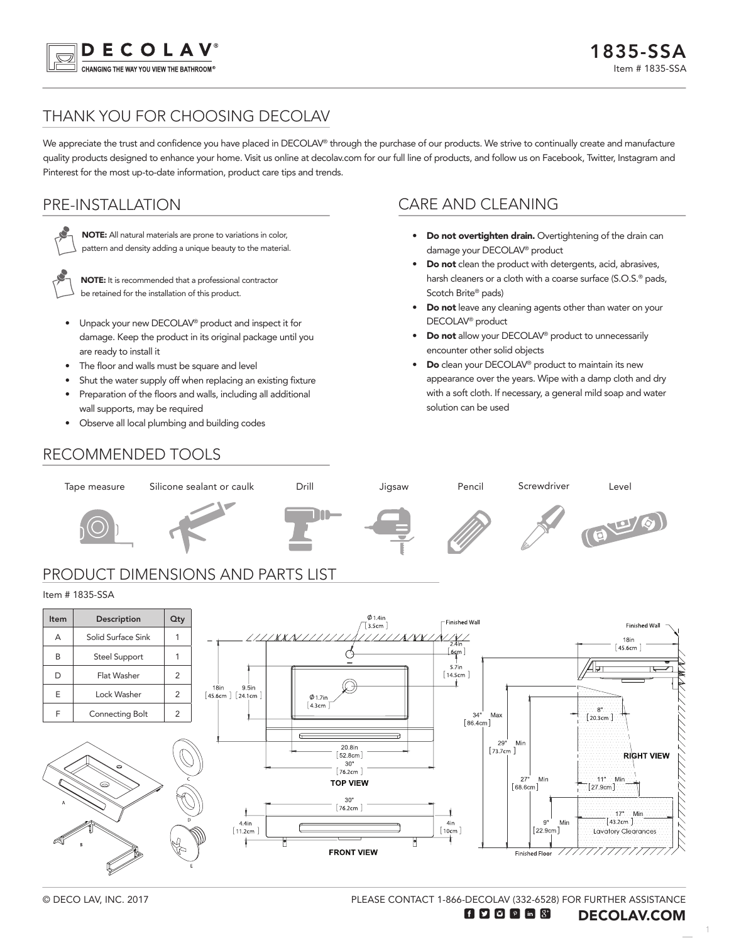

# THANK YOU FOR CHOOSING DECOLAV

We appreciate the trust and confidence you have placed in DECOLAV® through the purchase of our products. We strive to continually create and manufacture quality products designed to enhance your home. Visit us online at decolav.com for our full line of products, and follow us on Facebook, Twitter, Instagram and Pinterest for the most up-to-date information, product care tips and trends.

## PRE-INSTALLATION



NOTE: All natural materials are prone to variations in color, pattern and density adding a unique beauty to the material.



NOTE: It is recommended that a professional contractor be retained for the installation of this product.

- Unpack your new DECOLAV® product and inspect it for damage. Keep the product in its original package until you are ready to install it
- The floor and walls must be square and level
- Shut the water supply off when replacing an existing fixture
- Preparation of the floors and walls, including all additional wall supports, may be required
- Observe all local plumbing and building codes

### CARE AND CLEANING

- Do not overtighten drain. Overtightening of the drain can damage your DECOLAV® product
- Do not clean the product with detergents, acid, abrasives, harsh cleaners or a cloth with a coarse surface (S.O.S.<sup>®</sup> pads, Scotch Brite® pads)
- Do not leave any cleaning agents other than water on your DECOLAV® product
- Do not allow your DECOLAV® product to unnecessarily encounter other solid objects
- **Do** clean your DECOLAV<sup>®</sup> product to maintain its new appearance over the years. Wipe with a damp cloth and dry with a soft cloth. If necessary, a general mild soap and water solution can be used

## RECOMMENDED TOOLS





PLEASE CONTACT 1-866-DECOLAV (332-6528) FOR FURTHER ASSISTANCE

1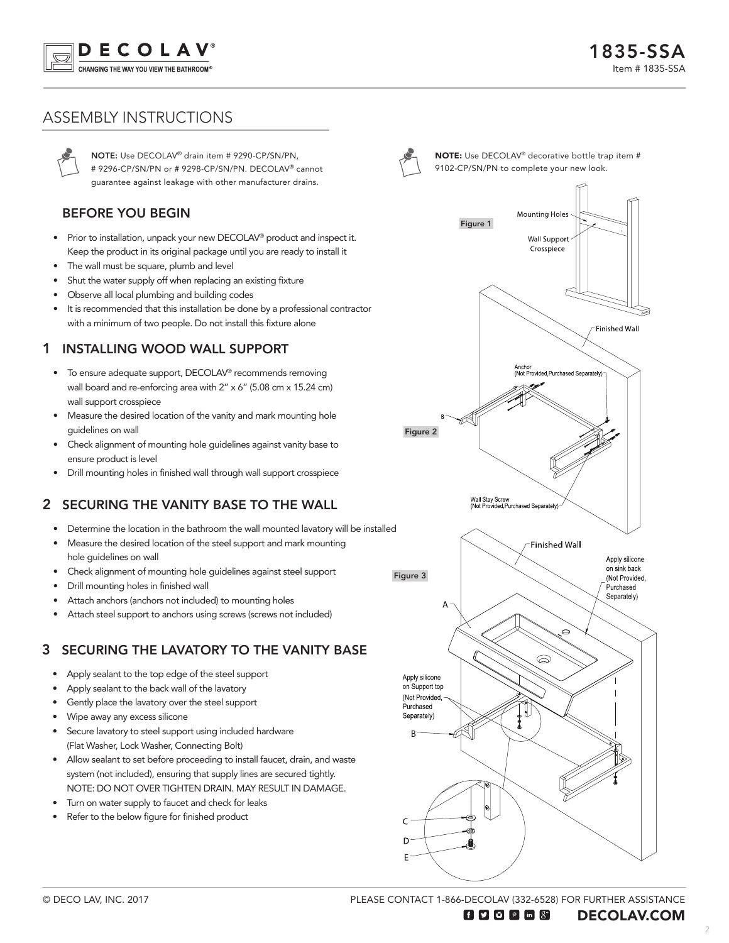

# ASSEMBLY INSTRUCTIONS

NOTE: Use DECOLAV® drain item # 9290-CP/SN/PN, # 9296-CP/SN/PN or # 9298-CP/SN/PN. DECOLAV® cannot guarantee against leakage with other manufacturer drains.

#### BEFORE YOU BEGIN

- Prior to installation, unpack your new DECOLAV<sup>®</sup> product and inspect it. Keep the product in its original package until you are ready to install it
- The wall must be square, plumb and level
- Shut the water supply off when replacing an existing fixture
- Observe all local plumbing and building codes
- It is recommended that this installation be done by a professional contractor with a minimum of two people. Do not install this fixture alone

## 1 INSTALLING WOOD WALL SUPPORT

- To ensure adequate support, DECOLAV® recommends removing wall board and re-enforcing area with 2" x 6" (5.08 cm x 15.24 cm) wall support crosspiece
- Measure the desired location of the vanity and mark mounting hole guidelines on wall
- Check alignment of mounting hole guidelines against vanity base to ensure product is level
- Drill mounting holes in finished wall through wall support crosspiece

## 2 SECURING THE VANITY BASE TO THE WALL

- Determine the location in the bathroom the wall mounted lavatory will be installed
- Measure the desired location of the steel support and mark mounting hole guidelines on wall
- Check alignment of mounting hole guidelines against steel support
- Drill mounting holes in finished wall
- Attach anchors (anchors not included) to mounting holes
- Attach steel support to anchors using screws (screws not included)

## 3 SECURING THE LAVATORY TO THE VANITY BASE

- Apply sealant to the top edge of the steel support
- Apply sealant to the back wall of the lavatory
- Gently place the lavatory over the steel support
- Wipe away any excess silicone
- Secure lavatory to steel support using included hardware (Flat Washer, Lock Washer, Connecting Bolt)
- Allow sealant to set before proceeding to install faucet, drain, and waste system (not included), ensuring that supply lines are secured tightly. NOTE: DO NOT OVER TIGHTEN DRAIN. MAY RESULT IN DAMAGE.
- Turn on water supply to faucet and check for leaks
- Refer to the below figure for finished product



NOTE: Use DECOLAV® decorative bottle trap item # 9102-CP/SN/PN to complete your new look.



PLEASE CONTACT 1-866-DECOLAV (332-6528) FOR FURTHER ASSISTANCE